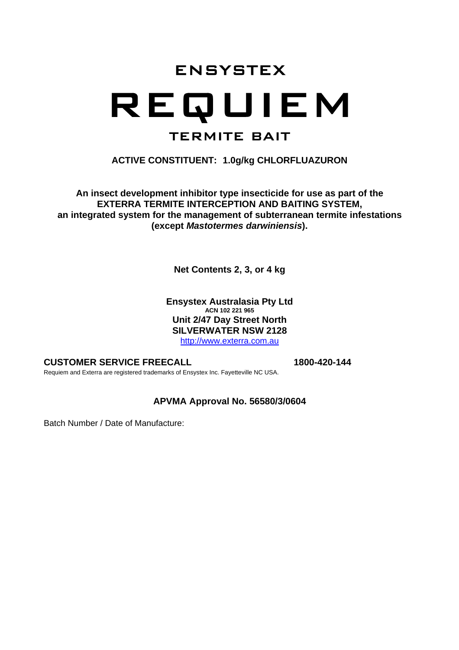# **ENSYSTEX** REQUIEM TERMITE BAIT

# **ACTIVE CONSTITUENT: 1.0g/kg CHLORFLUAZURON**

**An insect development inhibitor type insecticide for use as part of the EXTERRA TERMITE INTERCEPTION AND BAITING SYSTEM, an integrated system for the management of subterranean termite infestations (except** *Mastotermes darwiniensis***).** 

**Net Contents 2, 3, or 4 kg** 

**Ensystex Australasia Pty Ltd ACN 102 221 965 Unit 2/47 Day Street North SILVERWATER NSW 2128**  [http://www.exterra.com.au](http://www.exterra.com.au/)

# **CUSTOMER SERVICE FREECALL 1800-420-144**

Requiem and Exterra are registered trademarks of Ensystex Inc. Fayetteville NC USA.

# **APVMA Approval No. 56580/3/0604**

Batch Number / Date of Manufacture: